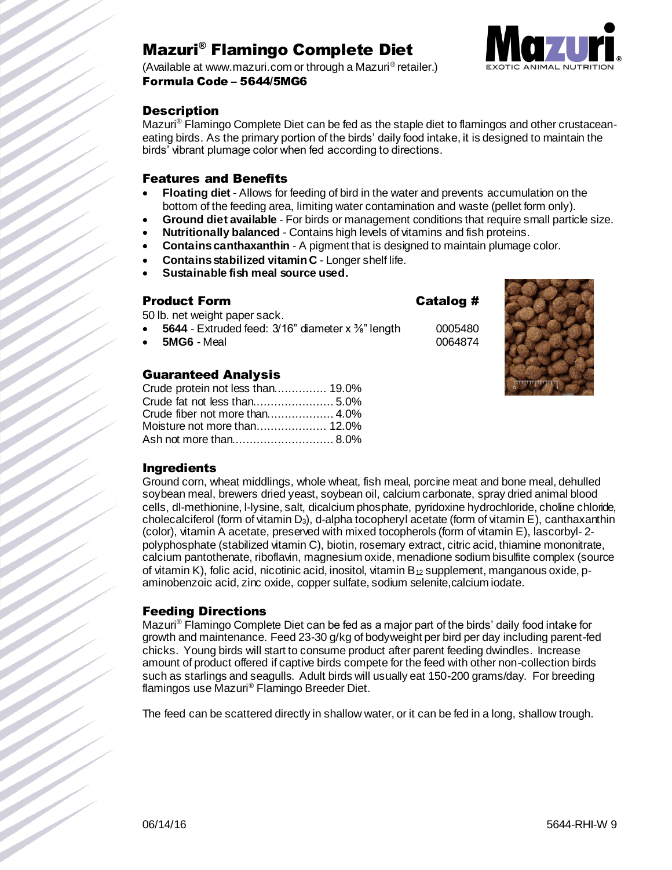# Mazuri® Flamingo Complete Diet



(Available at www.mazuri.com or through a Mazuri® retailer.) Formula Code – 5644/5MG6

### **Description**

Mazuri<sup>®</sup> Flamingo Complete Diet can be fed as the staple diet to flamingos and other crustaceaneating birds. As the primary portion of the birds' daily food intake, it is designed to maintain the birds' vibrant plumage color when fed according to directions.

### Features and Benefits

- **Floating diet** Allows for feeding of bird in the water and prevents accumulation on the bottom of the feeding area, limiting water contamination and waste (pellet form only).
- **Ground diet available** For birds or management conditions that require small particle size.
- **Nutritionally balanced** Contains high levels of vitamins and fish proteins.
- **Contains canthaxanthin** A pigment that is designed to maintain plumage color.
- **Contains stabilized vitamin C** Longer shelf life.
- **Sustainable fish meal source used.**

### Product Form Catalog #

50 lb. net weight paper sack.

- **5644** Extruded feed:  $3/16$ " diameter x <sup>3</sup>%" length 0005480
- **5MG6** Meal 0064874

### Guaranteed Analysis

| Crude protein not less than 19.0% |  |
|-----------------------------------|--|
|                                   |  |
|                                   |  |
|                                   |  |
|                                   |  |



### Ingredients

Ground corn, wheat middlings, whole wheat, fish meal, porcine meat and bone meal, dehulled soybean meal, brewers dried yeast, soybean oil, calcium carbonate, spray dried animal blood cells, dl-methionine, l-lysine, salt, dicalcium phosphate, pyridoxine hydrochloride, choline chloride, cholecalciferol (form of vitamin D<sub>3</sub>), d-alpha tocopheryl acetate (form of vitamin E), canthaxanthin (color), vitamin A acetate, preserved with mixed tocopherols (form of vitamin E), lascorbyl- 2 polyphosphate (stabilized vitamin C), biotin, rosemary extract, citric acid, thiamine mononitrate, calcium pantothenate, riboflavin, magnesium oxide, menadione sodium bisulfite complex (source of vitamin K), folic acid, nicotinic acid, inositol, vitamin  $B_{12}$  supplement, manganous oxide, paminobenzoic acid, zinc oxide, copper sulfate, sodium selenite,calcium iodate.

### Feeding Directions

Mazuri® Flamingo Complete Diet can be fed as a major part of the birds' daily food intake for growth and maintenance. Feed 23-30 g/kg of bodyweight per bird per day including parent-fed chicks. Young birds will start to consume product after parent feeding dwindles. Increase amount of product offered if captive birds compete for the feed with other non-collection birds such as starlings and seagulls. Adult birds will usually eat 150-200 grams/day. For breeding flamingos use Mazuri® Flamingo Breeder Diet.

The feed can be scattered directly in shallow water, or it can be fed in a long, shallow trough.